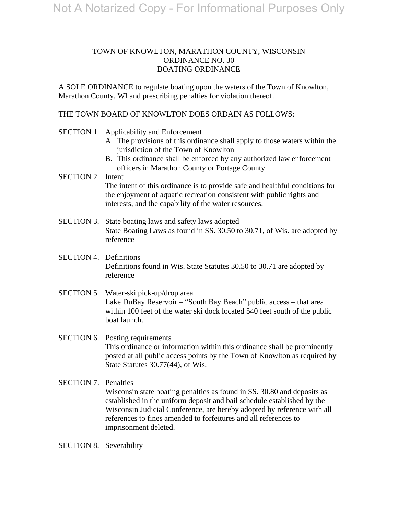# TOWN OF KNOWLTON, MARATHON COUNTY, WISCONSIN ORDINANCE NO. 30 BOATING ORDINANCE

A SOLE ORDINANCE to regulate boating upon the waters of the Town of Knowlton, Marathon County, WI and prescribing penalties for violation thereof.

# THE TOWN BOARD OF KNOWLTON DOES ORDAIN AS FOLLOWS:

- SECTION 1. Applicability and Enforcement
	- A. The provisions of this ordinance shall apply to those waters within the jurisdiction of the Town of Knowlton
	- B. This ordinance shall be enforced by any authorized law enforcement officers in Marathon County or Portage County

## SECTION 2. Intent The intent of this ordinance is to provide safe and healthful conditions for the enjoyment of aquatic recreation consistent with public rights and interests, and the capability of the water resources.

- SECTION 3. State boating laws and safety laws adopted State Boating Laws as found in SS. 30.50 to 30.71, of Wis. are adopted by reference
- SECTION 4. Definitions Definitions found in Wis. State Statutes 30.50 to 30.71 are adopted by reference
- SECTION 5. Water-ski pick-up/drop area Lake DuBay Reservoir – "South Bay Beach" public access – that area within 100 feet of the water ski dock located 540 feet south of the public boat launch.

# SECTION 6. Posting requirements This ordinance or information within this ordinance shall be prominently posted at all public access points by the Town of Knowlton as required by State Statutes 30.77(44), of Wis.

SECTION 7. Penalties Wisconsin state boating penalties as found in SS. 30.80 and deposits as established in the uniform deposit and bail schedule established by the Wisconsin Judicial Conference, are hereby adopted by reference with all references to fines amended to forfeitures and all references to imprisonment deleted.

SECTION 8. Severability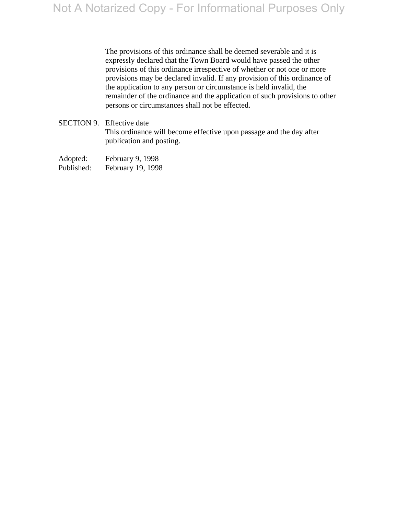The provisions of this ordinance shall be deemed severable and it is expressly declared that the Town Board would have passed the other provisions of this ordinance irrespective of whether or not one or more provisions may be declared invalid. If any provision of this ordinance of the application to any person or circumstance is held invalid, the remainder of the ordinance and the application of such provisions to other persons or circumstances shall not be effected.

SECTION 9. Effective date This ordinance will become effective upon passage and the day after publication and posting.

Adopted: February 9, 1998 Published: February 19, 1998